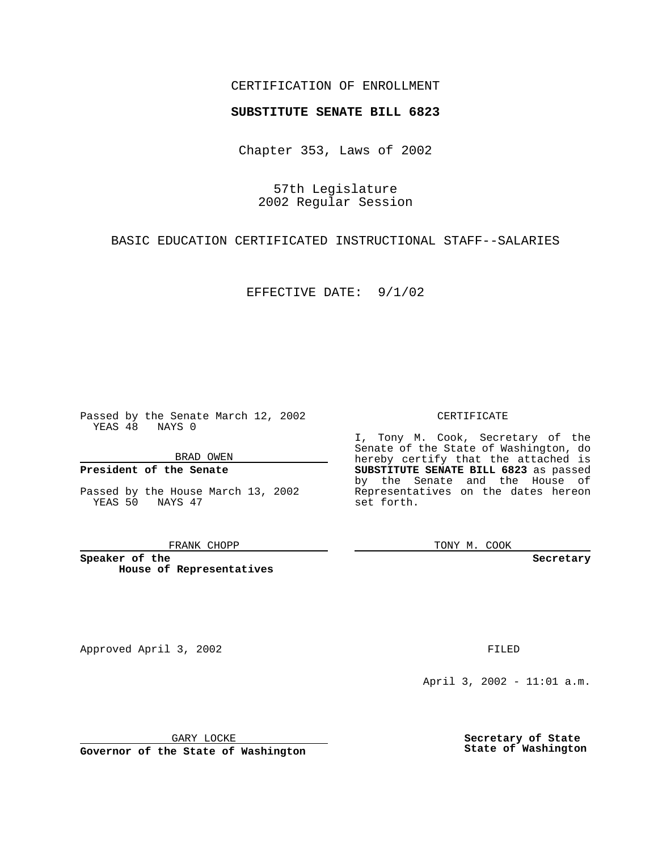## CERTIFICATION OF ENROLLMENT

# **SUBSTITUTE SENATE BILL 6823**

Chapter 353, Laws of 2002

57th Legislature 2002 Regular Session

BASIC EDUCATION CERTIFICATED INSTRUCTIONAL STAFF--SALARIES

EFFECTIVE DATE: 9/1/02

Passed by the Senate March 12, 2002 YEAS 48 NAYS 0

BRAD OWEN

### **President of the Senate**

Passed by the House March 13, 2002 YEAS 50 NAYS 47

#### FRANK CHOPP

**Speaker of the House of Representatives**

Approved April 3, 2002 **FILED** 

April 3, 2002 - 11:01 a.m.

GARY LOCKE

**Governor of the State of Washington**

**Secretary of State State of Washington**

CERTIFICATE

I, Tony M. Cook, Secretary of the Senate of the State of Washington, do hereby certify that the attached is **SUBSTITUTE SENATE BILL 6823** as passed by the Senate and the House of Representatives on the dates hereon set forth.

TONY M. COOK

**Secretary**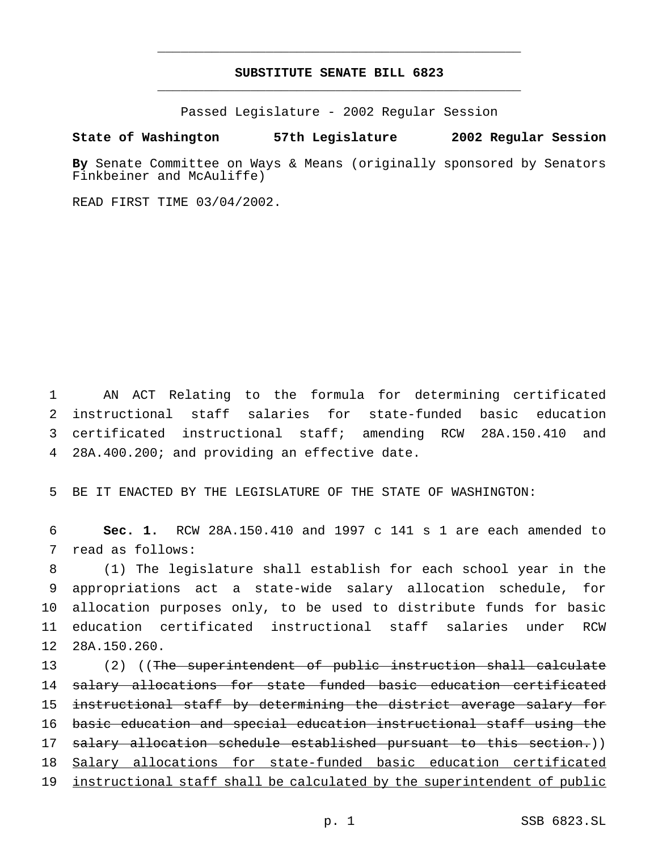# **SUBSTITUTE SENATE BILL 6823** \_\_\_\_\_\_\_\_\_\_\_\_\_\_\_\_\_\_\_\_\_\_\_\_\_\_\_\_\_\_\_\_\_\_\_\_\_\_\_\_\_\_\_\_\_\_\_

\_\_\_\_\_\_\_\_\_\_\_\_\_\_\_\_\_\_\_\_\_\_\_\_\_\_\_\_\_\_\_\_\_\_\_\_\_\_\_\_\_\_\_\_\_\_\_

Passed Legislature - 2002 Regular Session

### **State of Washington 57th Legislature 2002 Regular Session**

**By** Senate Committee on Ways & Means (originally sponsored by Senators Finkbeiner and McAuliffe)

READ FIRST TIME 03/04/2002.

 AN ACT Relating to the formula for determining certificated instructional staff salaries for state-funded basic education certificated instructional staff; amending RCW 28A.150.410 and 28A.400.200; and providing an effective date.

5 BE IT ENACTED BY THE LEGISLATURE OF THE STATE OF WASHINGTON:

6 **Sec. 1.** RCW 28A.150.410 and 1997 c 141 s 1 are each amended to 7 read as follows:

 (1) The legislature shall establish for each school year in the appropriations act a state-wide salary allocation schedule, for allocation purposes only, to be used to distribute funds for basic education certificated instructional staff salaries under RCW 28A.150.260.

13 (2) ((<del>The superintendent of public instruction shall calculate</del> 14 salary allocations for state funded basic education certificated 15 instructional staff by determining the district average salary for 16 basic education and special education instructional staff using the 17 salary allocation schedule established pursuant to this section.)) 18 Salary allocations for state-funded basic education certificated 19 instructional staff shall be calculated by the superintendent of public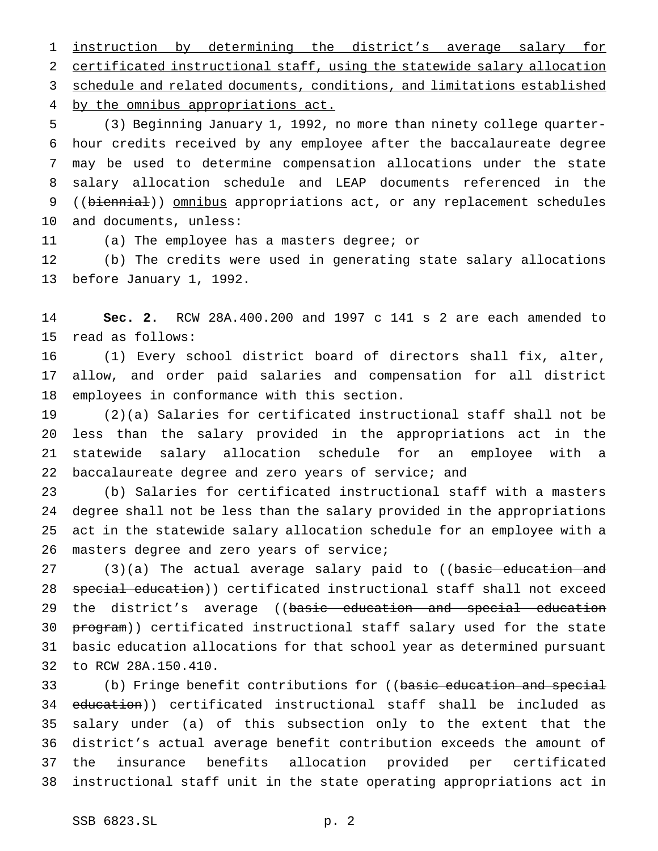instruction by determining the district's average salary for certificated instructional staff, using the statewide salary allocation schedule and related documents, conditions, and limitations established 4 by the omnibus appropriations act.

 (3) Beginning January 1, 1992, no more than ninety college quarter- hour credits received by any employee after the baccalaureate degree may be used to determine compensation allocations under the state salary allocation schedule and LEAP documents referenced in the 9 ((biennial)) omnibus appropriations act, or any replacement schedules and documents, unless:

(a) The employee has a masters degree; or

 (b) The credits were used in generating state salary allocations before January 1, 1992.

 **Sec. 2.** RCW 28A.400.200 and 1997 c 141 s 2 are each amended to read as follows:

 (1) Every school district board of directors shall fix, alter, allow, and order paid salaries and compensation for all district employees in conformance with this section.

 (2)(a) Salaries for certificated instructional staff shall not be less than the salary provided in the appropriations act in the statewide salary allocation schedule for an employee with a 22 baccalaureate degree and zero years of service; and

 (b) Salaries for certificated instructional staff with a masters degree shall not be less than the salary provided in the appropriations act in the statewide salary allocation schedule for an employee with a 26 masters degree and zero years of service;

27 (3)(a) The actual average salary paid to ((basic education and 28 special education)) certificated instructional staff shall not exceed 29 the district's average ((basic education and special education 30 program)) certificated instructional staff salary used for the state basic education allocations for that school year as determined pursuant to RCW 28A.150.410.

33 (b) Fringe benefit contributions for ((basic education and special 34 education)) certificated instructional staff shall be included as salary under (a) of this subsection only to the extent that the district's actual average benefit contribution exceeds the amount of the insurance benefits allocation provided per certificated instructional staff unit in the state operating appropriations act in